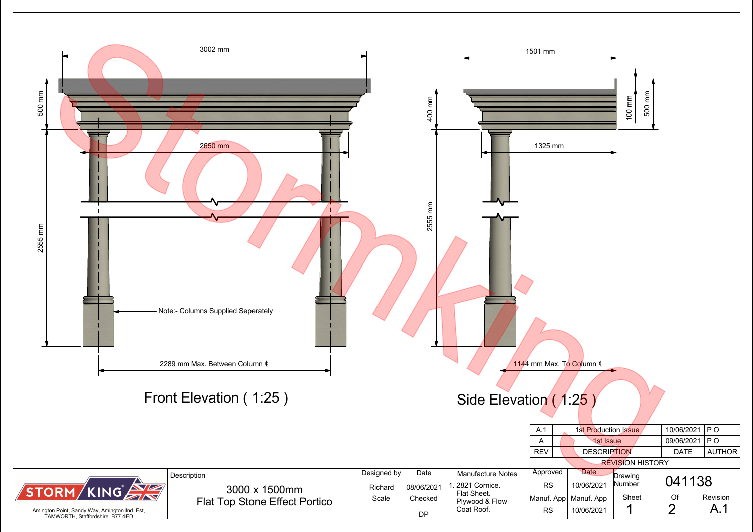